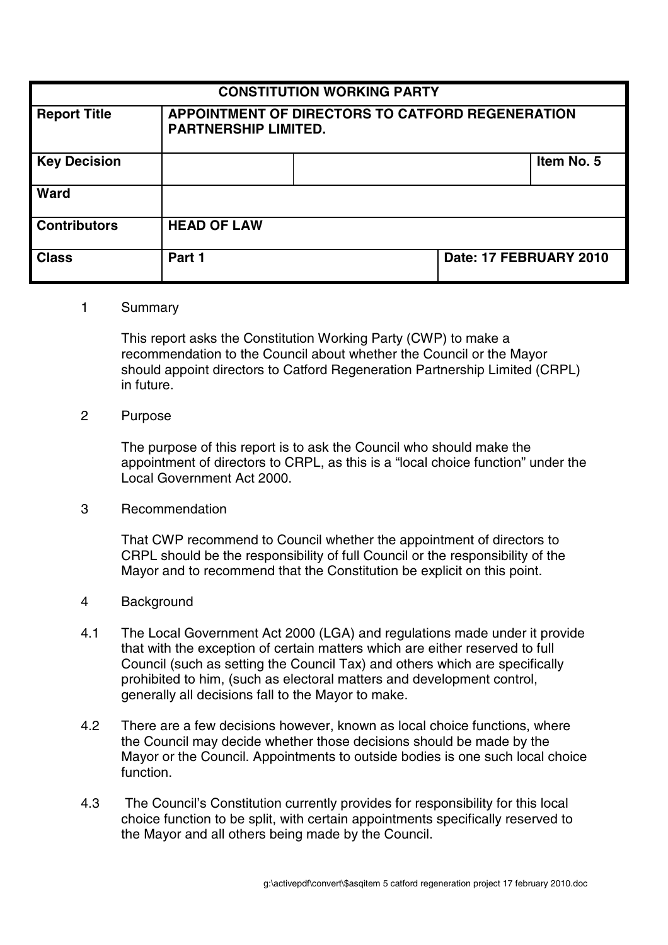| <b>CONSTITUTION WORKING PARTY</b> |                                                                                 |  |                        |            |
|-----------------------------------|---------------------------------------------------------------------------------|--|------------------------|------------|
| <b>Report Title</b>               | APPOINTMENT OF DIRECTORS TO CATFORD REGENERATION<br><b>PARTNERSHIP LIMITED.</b> |  |                        |            |
| <b>Key Decision</b>               |                                                                                 |  |                        | Item No. 5 |
| <b>Ward</b>                       |                                                                                 |  |                        |            |
| <b>Contributors</b>               | <b>HEAD OF LAW</b>                                                              |  |                        |            |
| <b>Class</b>                      | Part 1                                                                          |  | Date: 17 FEBRUARY 2010 |            |

#### 1 Summary

This report asks the Constitution Working Party (CWP) to make a recommendation to the Council about whether the Council or the Mayor should appoint directors to Catford Regeneration Partnership Limited (CRPL) in future.

## 2 Purpose

The purpose of this report is to ask the Council who should make the appointment of directors to CRPL, as this is a "local choice function" under the Local Government Act 2000.

### 3 Recommendation

That CWP recommend to Council whether the appointment of directors to CRPL should be the responsibility of full Council or the responsibility of the Mayor and to recommend that the Constitution be explicit on this point.

### 4 Background

- 4.1 The Local Government Act 2000 (LGA) and regulations made under it provide that with the exception of certain matters which are either reserved to full Council (such as setting the Council Tax) and others which are specifically prohibited to him, (such as electoral matters and development control, generally all decisions fall to the Mayor to make.
- 4.2 There are a few decisions however, known as local choice functions, where the Council may decide whether those decisions should be made by the Mayor or the Council. Appointments to outside bodies is one such local choice function.
- 4.3 The Council's Constitution currently provides for responsibility for this local choice function to be split, with certain appointments specifically reserved to the Mayor and all others being made by the Council.